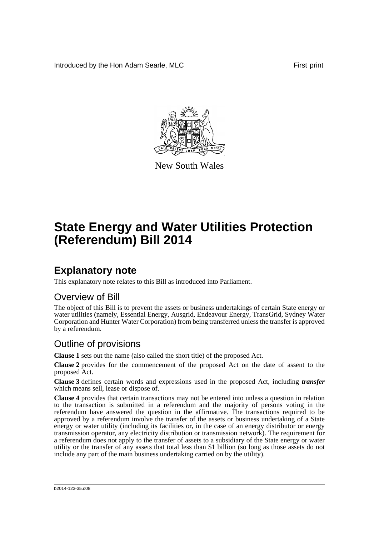Introduced by the Hon Adam Searle, MLC First print



New South Wales

# **State Energy and Water Utilities Protection (Referendum) Bill 2014**

## **Explanatory note**

This explanatory note relates to this Bill as introduced into Parliament.

#### Overview of Bill

The object of this Bill is to prevent the assets or business undertakings of certain State energy or water utilities (namely, Essential Energy, Ausgrid, Endeavour Energy, TransGrid, Sydney Water Corporation and Hunter Water Corporation) from being transferred unless the transfer is approved by a referendum.

#### Outline of provisions

**Clause 1** sets out the name (also called the short title) of the proposed Act.

**Clause 2** provides for the commencement of the proposed Act on the date of assent to the proposed Act.

**Clause 3** defines certain words and expressions used in the proposed Act, including *transfer* which means sell, lease or dispose of.

**Clause 4** provides that certain transactions may not be entered into unless a question in relation to the transaction is submitted in a referendum and the majority of persons voting in the referendum have answered the question in the affirmative. The transactions required to be approved by a referendum involve the transfer of the assets or business undertaking of a State energy or water utility (including its facilities or, in the case of an energy distributor or energy transmission operator, any electricity distribution or transmission network). The requirement for a referendum does not apply to the transfer of assets to a subsidiary of the State energy or water utility or the transfer of any assets that total less than \$1 billion (so long as those assets do not include any part of the main business undertaking carried on by the utility).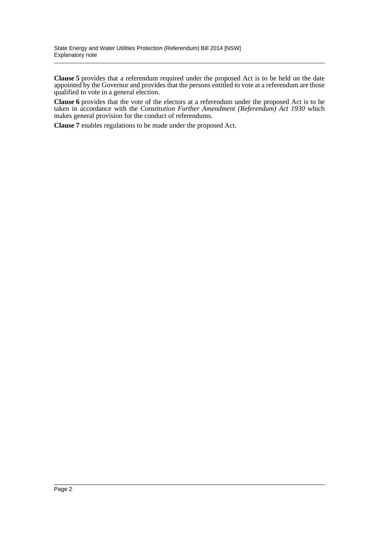**Clause 5** provides that a referendum required under the proposed Act is to be held on the date appointed by the Governor and provides that the persons entitled to vote at a referendum are those qualified to vote in a general election.

**Clause 6** provides that the vote of the electors at a referendum under the proposed Act is to be taken in accordance with the *Constitution Further Amendment (Referendum) Act 1930* which makes general provision for the conduct of referendums.

**Clause 7** enables regulations to be made under the proposed Act.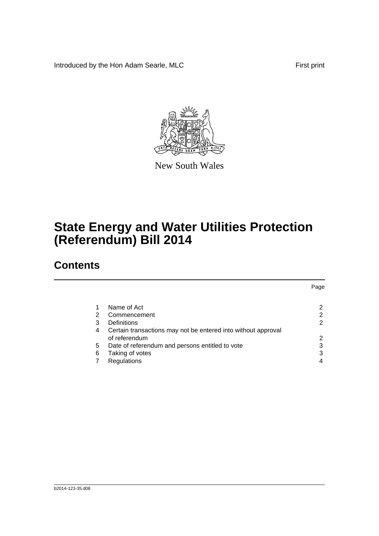Introduced by the Hon Adam Searle, MLC First print



New South Wales

## **State Energy and Water Utilities Protection (Referendum) Bill 2014**

### **Contents**

|   |                                                                                | Page |
|---|--------------------------------------------------------------------------------|------|
|   | Name of Act                                                                    | 2    |
| 2 | Commencement                                                                   | 2    |
| 3 | Definitions                                                                    | 2    |
| 4 | Certain transactions may not be entered into without approval<br>of referendum | 2    |
| 5 | Date of referendum and persons entitled to vote                                | 3    |
| 6 | Taking of votes                                                                | 3    |
|   | Regulations                                                                    | 4    |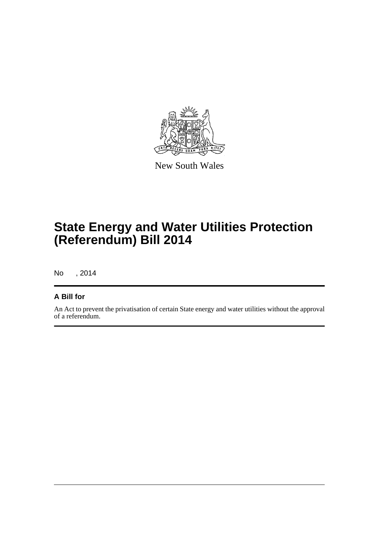

New South Wales

## **State Energy and Water Utilities Protection (Referendum) Bill 2014**

No , 2014

#### **A Bill for**

An Act to prevent the privatisation of certain State energy and water utilities without the approval of a referendum.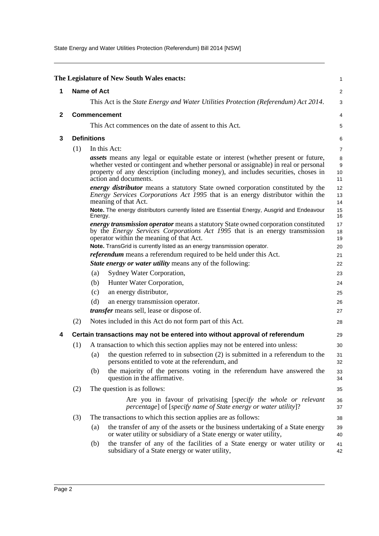State Energy and Water Utilities Protection (Referendum) Bill 2014 [NSW]

<span id="page-4-3"></span><span id="page-4-2"></span><span id="page-4-1"></span><span id="page-4-0"></span>

|              |                    |                                                                                                                                                                                                                                                                                                 | The Legislature of New South Wales enacts:                                                                                                                                                                           | 1                                 |
|--------------|--------------------|-------------------------------------------------------------------------------------------------------------------------------------------------------------------------------------------------------------------------------------------------------------------------------------------------|----------------------------------------------------------------------------------------------------------------------------------------------------------------------------------------------------------------------|-----------------------------------|
| 1            | <b>Name of Act</b> |                                                                                                                                                                                                                                                                                                 |                                                                                                                                                                                                                      | $\overline{c}$                    |
|              |                    |                                                                                                                                                                                                                                                                                                 | This Act is the <i>State Energy and Water Utilities Protection (Referendum) Act 2014</i> .                                                                                                                           | 3                                 |
| $\mathbf{2}$ |                    |                                                                                                                                                                                                                                                                                                 | <b>Commencement</b>                                                                                                                                                                                                  | 4                                 |
|              |                    |                                                                                                                                                                                                                                                                                                 | This Act commences on the date of assent to this Act.                                                                                                                                                                | 5                                 |
|              |                    |                                                                                                                                                                                                                                                                                                 |                                                                                                                                                                                                                      |                                   |
| 3            |                    | <b>Definitions</b>                                                                                                                                                                                                                                                                              |                                                                                                                                                                                                                      | 6                                 |
|              | (1)                |                                                                                                                                                                                                                                                                                                 | In this Act:                                                                                                                                                                                                         | $\overline{7}$                    |
|              |                    | <i>assets</i> means any legal or equitable estate or interest (whether present or future,<br>whether vested or contingent and whether personal or assignable) in real or personal<br>property of any description (including money), and includes securities, choses in<br>action and documents. |                                                                                                                                                                                                                      | 8<br>$\boldsymbol{9}$<br>10<br>11 |
|              |                    |                                                                                                                                                                                                                                                                                                 | <i>energy distributor</i> means a statutory State owned corporation constituted by the<br><i>Energy Services Corporations Act 1995</i> that is an energy distributor within the<br>meaning of that Act.              | 12<br>13<br>14                    |
|              |                    | Energy.                                                                                                                                                                                                                                                                                         | Note. The energy distributors currently listed are Essential Energy, Ausgrid and Endeavour                                                                                                                           | 15<br>16                          |
|              |                    |                                                                                                                                                                                                                                                                                                 | energy transmission operator means a statutory State owned corporation constituted<br>by the <i>Energy Services Corporations Act 1995</i> that is an energy transmission<br>operator within the meaning of that Act. | 17<br>18<br>19                    |
|              |                    |                                                                                                                                                                                                                                                                                                 | Note. TransGrid is currently listed as an energy transmission operator.                                                                                                                                              | 20                                |
|              |                    |                                                                                                                                                                                                                                                                                                 | <i>referendum</i> means a referendum required to be held under this Act.                                                                                                                                             | 21                                |
|              |                    |                                                                                                                                                                                                                                                                                                 | <b>State energy or water utility means any of the following:</b>                                                                                                                                                     | 22                                |
|              |                    | (a)                                                                                                                                                                                                                                                                                             | Sydney Water Corporation,                                                                                                                                                                                            | 23                                |
|              |                    | (b)                                                                                                                                                                                                                                                                                             | Hunter Water Corporation,                                                                                                                                                                                            | 24                                |
|              |                    | (c)                                                                                                                                                                                                                                                                                             | an energy distributor,                                                                                                                                                                                               | 25                                |
|              |                    | (d)                                                                                                                                                                                                                                                                                             | an energy transmission operator.                                                                                                                                                                                     | 26                                |
|              |                    |                                                                                                                                                                                                                                                                                                 | transfer means sell, lease or dispose of.                                                                                                                                                                            | 27                                |
|              | (2)                |                                                                                                                                                                                                                                                                                                 | Notes included in this Act do not form part of this Act.                                                                                                                                                             | 28                                |
| 4            |                    |                                                                                                                                                                                                                                                                                                 | Certain transactions may not be entered into without approval of referendum                                                                                                                                          | 29                                |
|              | (1)                |                                                                                                                                                                                                                                                                                                 | A transaction to which this section applies may not be entered into unless:                                                                                                                                          | 30                                |
|              |                    |                                                                                                                                                                                                                                                                                                 | (a) the question referred to in subsection $(2)$ is submitted in a referendum to the<br>persons entitled to vote at the referendum, and                                                                              | 31<br>32                          |
|              |                    | (b)                                                                                                                                                                                                                                                                                             | the majority of the persons voting in the referendum have answered the<br>question in the affirmative.                                                                                                               | 33<br>34                          |
|              | (2)                |                                                                                                                                                                                                                                                                                                 | The question is as follows:                                                                                                                                                                                          | 35                                |
|              |                    |                                                                                                                                                                                                                                                                                                 | Are you in favour of privatising [specify the whole or relevant<br>percentage] of [specify name of State energy or water utility]?                                                                                   | 36<br>37                          |
|              | (3)                |                                                                                                                                                                                                                                                                                                 | The transactions to which this section applies are as follows:                                                                                                                                                       | 38                                |
|              |                    | (a)                                                                                                                                                                                                                                                                                             | the transfer of any of the assets or the business undertaking of a State energy<br>or water utility or subsidiary of a State energy or water utility,                                                                | 39<br>40                          |
|              |                    | (b)                                                                                                                                                                                                                                                                                             | the transfer of any of the facilities of a State energy or water utility or<br>subsidiary of a State energy or water utility,                                                                                        | 41<br>42                          |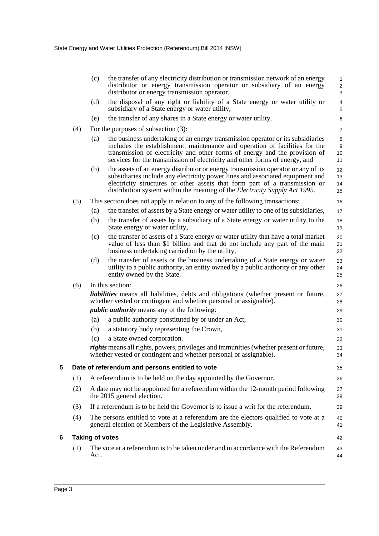<span id="page-5-1"></span><span id="page-5-0"></span>

|                                   |                                                                 | (c)                                                                               | the transfer of any electricity distribution or transmission network of an energy<br>distributor or energy transmission operator or subsidiary of an energy<br>distributor or energy transmission operator,                                                                                                                            | 1<br>$\overline{\mathbf{c}}$<br>3 |
|-----------------------------------|-----------------------------------------------------------------|-----------------------------------------------------------------------------------|----------------------------------------------------------------------------------------------------------------------------------------------------------------------------------------------------------------------------------------------------------------------------------------------------------------------------------------|-----------------------------------|
|                                   |                                                                 | (d)                                                                               | the disposal of any right or liability of a State energy or water utility or<br>subsidiary of a State energy or water utility,                                                                                                                                                                                                         | 4<br>5                            |
|                                   |                                                                 | (e)                                                                               | the transfer of any shares in a State energy or water utility.                                                                                                                                                                                                                                                                         | 6                                 |
|                                   | (4)                                                             |                                                                                   | For the purposes of subsection $(3)$ :                                                                                                                                                                                                                                                                                                 | $\overline{7}$                    |
|                                   |                                                                 | (a)                                                                               | the business undertaking of an energy transmission operator or its subsidiaries<br>includes the establishment, maintenance and operation of facilities for the<br>transmission of electricity and other forms of energy and the provision of<br>services for the transmission of electricity and other forms of energy, and            | 8<br>9<br>10<br>11                |
|                                   |                                                                 | (b)                                                                               | the assets of an energy distributor or energy transmission operator or any of its<br>subsidiaries include any electricity power lines and associated equipment and<br>electricity structures or other assets that form part of a transmission or<br>distribution system within the meaning of the <i>Electricity Supply Act 1995</i> . | 12<br>13<br>14<br>15              |
|                                   | (5)                                                             |                                                                                   | This section does not apply in relation to any of the following transactions:                                                                                                                                                                                                                                                          | 16                                |
|                                   |                                                                 | (a)                                                                               | the transfer of assets by a State energy or water utility to one of its subsidiaries,                                                                                                                                                                                                                                                  | 17                                |
|                                   |                                                                 | (b)                                                                               | the transfer of assets by a subsidiary of a State energy or water utility to the<br>State energy or water utility,                                                                                                                                                                                                                     | 18<br>19                          |
|                                   |                                                                 | (c)                                                                               | the transfer of assets of a State energy or water utility that have a total market<br>value of less than \$1 billion and that do not include any part of the main<br>business undertaking carried on by the utility,                                                                                                                   | 20<br>21<br>22                    |
|                                   |                                                                 | (d)                                                                               | the transfer of assets or the business undertaking of a State energy or water<br>utility to a public authority, an entity owned by a public authority or any other<br>entity owned by the State.                                                                                                                                       | 23<br>24<br>25                    |
|                                   | (6)                                                             |                                                                                   | In this section:                                                                                                                                                                                                                                                                                                                       | 26                                |
|                                   |                                                                 |                                                                                   | <i>liabilities</i> means all liabilities, debts and obligations (whether present or future,<br>whether vested or contingent and whether personal or assignable).                                                                                                                                                                       | 27<br>28                          |
|                                   |                                                                 |                                                                                   | <i>public authority</i> means any of the following:                                                                                                                                                                                                                                                                                    | 29                                |
|                                   |                                                                 | (a)                                                                               | a public authority constituted by or under an Act,                                                                                                                                                                                                                                                                                     | 30                                |
|                                   |                                                                 | (b)                                                                               | a statutory body representing the Crown,                                                                                                                                                                                                                                                                                               | 31                                |
|                                   |                                                                 | (c)                                                                               | a State owned corporation.<br><i>rights</i> means all rights, powers, privileges and immunities (whether present or future,                                                                                                                                                                                                            | 32<br>33                          |
|                                   |                                                                 |                                                                                   | whether vested or contingent and whether personal or assignable).                                                                                                                                                                                                                                                                      | 34                                |
| 5                                 |                                                                 |                                                                                   | Date of referendum and persons entitled to vote                                                                                                                                                                                                                                                                                        | 35                                |
|                                   | (1)                                                             |                                                                                   | A referendum is to be held on the day appointed by the Governor.                                                                                                                                                                                                                                                                       | 36                                |
| (2)<br>the 2015 general election. |                                                                 | A date may not be appointed for a referendum within the 12-month period following | 37<br>38                                                                                                                                                                                                                                                                                                                               |                                   |
|                                   | (3)                                                             |                                                                                   | If a referendum is to be held the Governor is to issue a writ for the referendum.                                                                                                                                                                                                                                                      | 39                                |
|                                   | (4)<br>general election of Members of the Legislative Assembly. |                                                                                   | The persons entitled to vote at a referendum are the electors qualified to vote at a                                                                                                                                                                                                                                                   | 40<br>41                          |
| 6                                 |                                                                 | <b>Taking of votes</b>                                                            |                                                                                                                                                                                                                                                                                                                                        | 42                                |
|                                   | (1)                                                             | Act.                                                                              | The vote at a referendum is to be taken under and in accordance with the Referendum                                                                                                                                                                                                                                                    | 43<br>44                          |